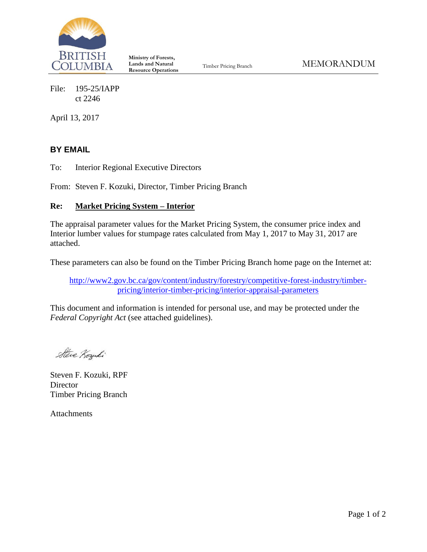

**Ministry of Forests, Lands and Natural Resource Operations**

File: 195-25/IAPP ct 2246

April 13, 2017

# **BY EMAIL**

To: Interior Regional Executive Directors

From: Steven F. Kozuki, Director, Timber Pricing Branch

## **Re: Market Pricing System – Interior**

The appraisal parameter values for the Market Pricing System, the consumer price index and Interior lumber values for stumpage rates calculated from May 1, 2017 to May 31, 2017 are attached.

These parameters can also be found on the Timber Pricing Branch home page on the Internet at:

[http://www2.gov.bc.ca/gov/content/industry/forestry/competitive-forest-industry/timber](http://www2.gov.bc.ca/gov/content?id=71E9805CE1B04937BFB087E8A56A8B82)[pricing/interior-timber-pricing/interior-appraisal-parameters](http://www2.gov.bc.ca/gov/content?id=71E9805CE1B04937BFB087E8A56A8B82)

This document and information is intended for personal use, and may be protected under the *Federal Copyright Act* (see attached guidelines).

Steve Kozuki

Steven F. Kozuki, RPF **Director** Timber Pricing Branch

Attachments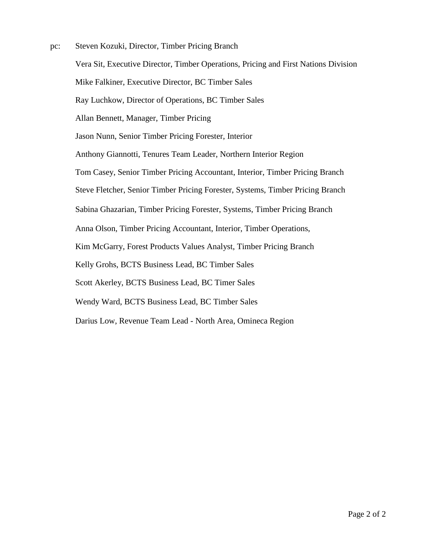pc: Steven Kozuki, Director, Timber Pricing Branch Vera Sit, Executive Director, Timber Operations, Pricing and First Nations Division Mike Falkiner, Executive Director, BC Timber Sales Ray Luchkow, Director of Operations, BC Timber Sales Allan Bennett, Manager, Timber Pricing Jason Nunn, Senior Timber Pricing Forester, Interior Anthony Giannotti, Tenures Team Leader, Northern Interior Region Tom Casey, Senior Timber Pricing Accountant, Interior, Timber Pricing Branch Steve Fletcher, Senior Timber Pricing Forester, Systems, Timber Pricing Branch Sabina Ghazarian, Timber Pricing Forester, Systems, Timber Pricing Branch Anna Olson, Timber Pricing Accountant, Interior, Timber Operations, Kim McGarry, Forest Products Values Analyst, Timber Pricing Branch Kelly Grohs, BCTS Business Lead, BC Timber Sales Scott Akerley, BCTS Business Lead, BC Timer Sales Wendy Ward, BCTS Business Lead, BC Timber Sales

Darius Low, Revenue Team Lead - North Area, Omineca Region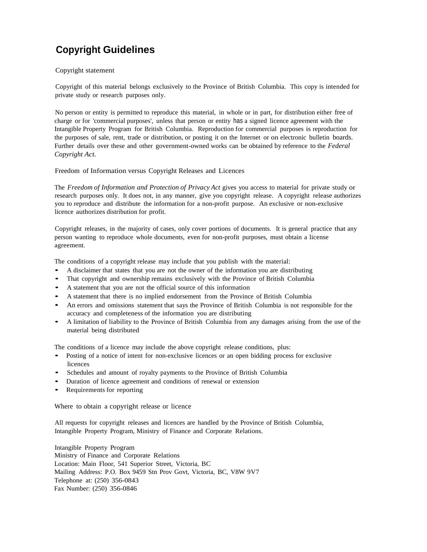# **Copyright Guidelines**

#### Copyright statement

Copyright of this material belongs exclusively to the Province of British Columbia. This copy is intended for private study or research purposes only.

No person or entity is permitted to reproduce this material, in whole or in part, for distribution either free of charge or for 'commercial purposes', unless that person or entity has a signed licence agreement with the Intangible Property Program for British Columbia. Reproduction for commercial purposes is reproduction for the purposes of sale, rent, trade or distribution, or posting it on the Internet or on electronic bulletin boards. Further details over these and other government-owned works can be obtained by reference to the *Federal Copyright Act.*

#### Freedom of Information versus Copyright Releases and Licences

The *Freedom of Information and Protection of Privacy Act* gives you access to material for private study or research purposes only. It does not, in any manner, give you copyright release. A copyright release authorizes you to reproduce and distribute the information for a non-profit purpose. An exclusive or non-exclusive licence authorizes distribution for profit.

Copyright releases, in the majority of cases, only cover portions of documents. It is general practice that any person wanting to reproduce whole documents, even for non-profit purposes, must obtain a license agreement.

The conditions of a copyright release may include that you publish with the material:

- A disclaimer that states that you are not the owner of the information you are distributing
- That copyright and ownership remains exclusively with the Province of British Columbia
- <sup>A</sup> statement that you are not the official source of this information
- <sup>A</sup> statement that there is no implied endorsement from the Province of British Columbia
- An errors and omissions statement that says the Province of British Columbia is not responsible for the accuracy and completeness of the information you are distributing
- <sup>A</sup> limitation of liability to the Province of British Columbia from any damages arising from the use of the material being distributed

The conditions of a licence may include the above copyright release conditions, plus:

- Posting of <sup>a</sup> notice of intent for non-exclusive licences or an open bidding process for exclusive licences
- Schedules and amount of royalty payments to the Province of British Columbia
- Duration of licence agreement and conditions of renewal or extension
- Requirements for reporting

Where to obtain a copyright release or licence

All requests for copyright releases and licences are handled by the Province of British Columbia, Intangible Property Program, Ministry of Finance and Corporate Relations.

Intangible Property Program Ministry of Finance and Corporate Relations Location: Main Floor, 541 Superior Street, Victoria, BC Mailing Address: P.O. Box 9459 Stn Prov Govt, Victoria, BC, V8W 9V7 Telephone at: (250) 356-0843 Fax Number: (250) 356-0846